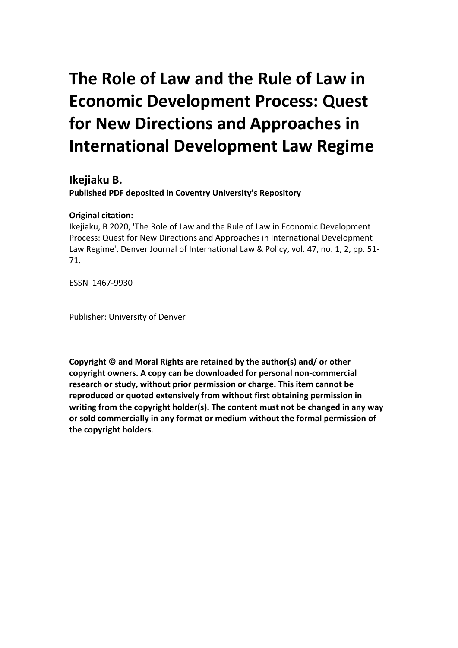# **The Role of Law and the Rule of Law in Economic Development Process: Quest for New Directions and Approaches in International Development Law Regime**

**Ikejiaku B. Published PDF deposited in Coventry University's Repository** 

# **Original citation:**

Ikejiaku, B 2020, 'The Role of Law and the Rule of Law in Economic Development Process: Quest for New Directions and Approaches in International Development Law Regime', Denver Journal of International Law & Policy, vol. 47, no. 1, 2, pp. 51- 71.

ESSN 1467-9930

Publisher: University of Denver

**Copyright © and Moral Rights are retained by the author(s) and/ or other copyright owners. A copy can be downloaded for personal non-commercial research or study, without prior permission or charge. This item cannot be reproduced or quoted extensively from without first obtaining permission in writing from the copyright holder(s). The content must not be changed in any way or sold commercially in any format or medium without the formal permission of the copyright holders**.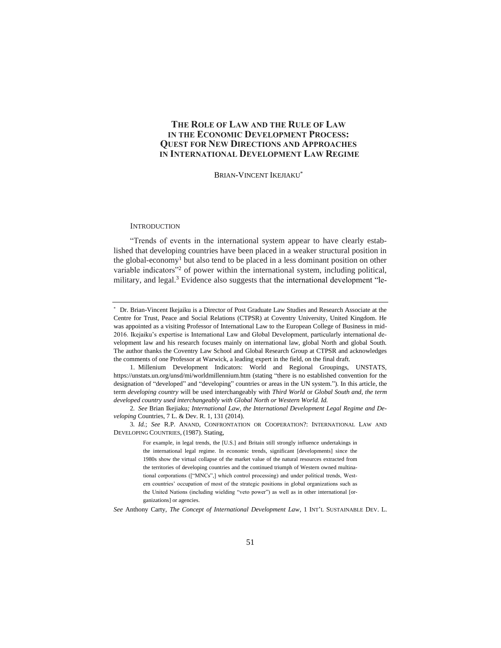## **THE ROLE OF LAW AND THE RULE OF LAW IN THE ECONOMIC DEVELOPMENT PROCESS: QUEST FOR NEW DIRECTIONS AND APPROACHES IN INTERNATIONAL DEVELOPMENT LAW REGIME**

BRIAN-VINCENT IKEJIAKU\*

#### **INTRODUCTION**

"Trends of events in the international system appear to have clearly established that developing countries have been placed in a weaker structural position in the global-economy<sup>1</sup> but also tend to be placed in a less dominant position on other variable indicators"<sup>2</sup> of power within the international system, including political, military, and legal.<sup>3</sup> Evidence also suggests that the international development "le-

*See* Anthony Carty, *The Concept of International Development Law*, 1 INT'L SUSTAINABLE DEV. L.

Dr. Brian-Vincent Ikejaiku is a Director of Post Graduate Law Studies and Research Associate at the Centre for Trust, Peace and Social Relations (CTPSR) at Coventry University, United Kingdom. He was appointed as a visiting Professor of International Law to the European College of Business in mid-2016. Ikejaiku's expertise is International Law and Global Development, particularly international development law and his research focuses mainly on international law, global North and global South. The author thanks the Coventry Law School and Global Research Group at CTPSR and acknowledges the comments of one Professor at Warwick, a leading expert in the field, on the final draft.

<sup>1.</sup> Millenium Development Indicators: World and Regional Groupings, UNSTATS, https://unstats.un.org/unsd/mi/worldmillennium.htm (stating "there is no established convention for the designation of "developed" and "developing" countries or areas in the UN system."). In this article, the term *developing country* will be used interchangeably with *Third World* or *Global South and, the term developed country used interchangeably with Global North or Western World. Id.*

<sup>2</sup>*. See* Brian Ikejiaku*; International Law, the International Development Legal Regime and Developing* Countries, 7 L. & Dev. R. 1, 131 (2014).

<sup>3</sup>*. Id.*; *See* R.P. ANAND, CONFRONTATION OR COOPERATION?: INTERNATIONAL LAW AND DEVELOPING COUNTRIES, (1987). Stating,

For example, in legal trends, the [U.S.] and Britain still strongly influence undertakings in the international legal regime. In economic trends, significant [developments] since the 1980s show the virtual collapse of the market value of the natural resources extracted from the territories of developing countries and the continued triumph of Western owned multinational corporations (["MNCs",] which control processing) and under political trends, Western countries' occupation of most of the strategic positions in global organizations such as the United Nations (including wielding "veto power") as well as in other international [organizations] or agencies.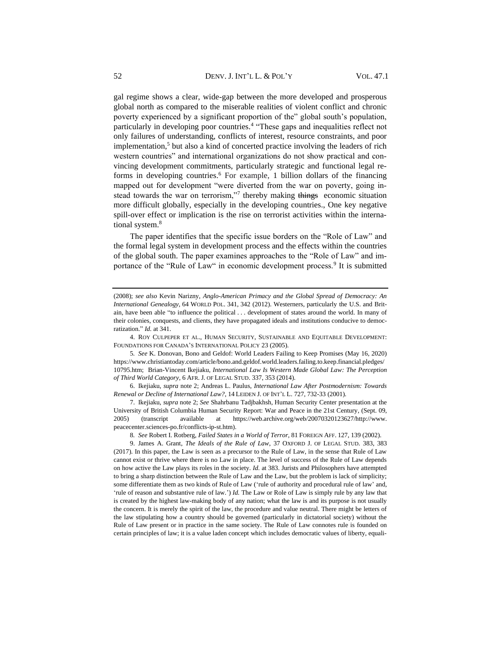gal regime shows a clear, wide-gap between the more developed and prosperous global north as compared to the miserable realities of violent conflict and chronic poverty experienced by a significant proportion of the" global south's population, particularly in developing poor countries.<sup>4</sup> "These gaps and inequalities reflect not only failures of understanding, conflicts of interest, resource constraints, and poor implementation, $5$  but also a kind of concerted practice involving the leaders of rich western countries" and international organizations do not show practical and convincing development commitments, particularly strategic and functional legal reforms in developing countries.<sup>6</sup> For example, 1 billion dollars of the financing mapped out for development "were diverted from the war on poverty, going instead towards the war on terrorism,"7 thereby making things economic situation more difficult globally, especially in the developing countries., One key negative spill-over effect or implication is the rise on terrorist activities within the international system.<sup>8</sup>

The paper identifies that the specific issue borders on the "Role of Law" and the formal legal system in development process and the effects within the countries of the global south. The paper examines approaches to the "Role of Law" and importance of the "Rule of Law" in economic development process.<sup>9</sup> It is submitted

4. ROY CULPEPER ET AL., HUMAN SECURITY, SUSTAINABLE AND EQUITABLE DEVELOPMENT: FOUNDATIONS FOR CANADA'S INTERNATIONAL POLICY 23 (2005).

5*. See* K. Donovan, Bono and Geldof: World Leaders Failing to Keep Promises (May 16, 2020) https://www.christiantoday.com/article/bono.and.geldof.world.leaders.failing.to.keep.financial.pledges/ 10795.htm; Brian-Vincent Ikejiaku, *International Law Is Western Made Global Law: The Perception of Third World Category*, 6 AFR. J. OF LEGAL STUD. 337, 353 (2014).

6. Ikejiaku, *supra* note 2; Andreas L. Paulus*, International Law After Postmodernism: Towards Renewal or Decline of International Law?*, 14 LEIDEN J. OF INT'L L. 727, 732-33 (2001).

7. Ikejiaku, *supra* note 2; *See* Shahrbanu Tadjbakhsh, Human Security Center presentation at the University of British Columbia Human Security Report: War and Peace in the 21st Century, (Sept. 09, 2005) (transcript available at https://web.archive.org/web/20070320123627/http://www. peacecenter.sciences-po.fr/conflicts-ip-st.htm).

8*. See* Robert I. Rotberg, *Failed States in a World of Terror*, 81 FOREIGN AFF. 127, 139 (2002).

9. James A. Grant, *The Ideals of the Rule of Law*, 37 OXFORD J. OF LEGAL STUD. 383, 383 (2017). In this paper, the Law is seen as a precursor to the Rule of Law, in the sense that Rule of Law cannot exist or thrive where there is no Law in place. The level of success of the Rule of Law depends on how active the Law plays its roles in the society. *Id.* at 383. Jurists and Philosophers have attempted to bring a sharp distinction between the Rule of Law and the Law, but the problem is lack of simplicity; some differentiate them as two kinds of Rule of Law ('rule of authority and procedural rule of law' and, 'rule of reason and substantive rule of law.') *Id.* The Law or Role of Law is simply rule by any law that is created by the highest law-making body of any nation; what the law is and its purpose is not usually the concern. It is merely the spirit of the law, the procedure and value neutral. There might be letters of the law stipulating how a country should be governed (particularly in dictatorial society) without the Rule of Law present or in practice in the same society. The Rule of Law connotes rule is founded on certain principles of law; it is a value laden concept which includes democratic values of liberty, equali-

<sup>(2008);</sup> *see also* Kevin Narizny, *Anglo-American Primacy and the Global Spread of Democracy: An International Genealogy*, 64 WORLD POL. 341, 342 (2012). Westerners, particularly the U.S. and Britain, have been able "to influence the political . . . development of states around the world. In many of their colonies, conquests, and clients, they have propagated ideals and institutions conducive to democratization." *Id.* at 341.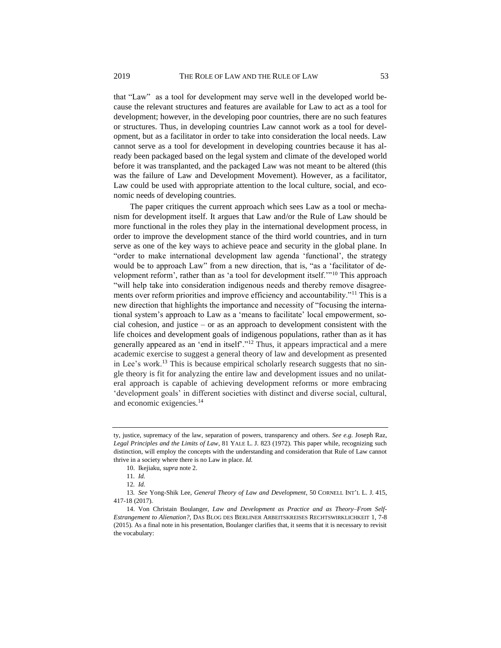that "Law" as a tool for development may serve well in the developed world because the relevant structures and features are available for Law to act as a tool for development; however, in the developing poor countries, there are no such features or structures. Thus, in developing countries Law cannot work as a tool for development, but as a facilitator in order to take into consideration the local needs. Law cannot serve as a tool for development in developing countries because it has already been packaged based on the legal system and climate of the developed world before it was transplanted, and the packaged Law was not meant to be altered (this was the failure of Law and Development Movement). However, as a facilitator, Law could be used with appropriate attention to the local culture, social, and economic needs of developing countries.

The paper critiques the current approach which sees Law as a tool or mechanism for development itself. It argues that Law and/or the Rule of Law should be more functional in the roles they play in the international development process, in order to improve the development stance of the third world countries, and in turn serve as one of the key ways to achieve peace and security in the global plane. In "order to make international development law agenda 'functional', the strategy would be to approach Law" from a new direction, that is, "as a 'facilitator of development reform', rather than as 'a tool for development itself.'"<sup>10</sup> This approach "will help take into consideration indigenous needs and thereby remove disagreements over reform priorities and improve efficiency and accountability."<sup>11</sup> This is a new direction that highlights the importance and necessity of "focusing the international system's approach to Law as a 'means to facilitate' local empowerment, social cohesion, and justice – or as an approach to development consistent with the life choices and development goals of indigenous populations, rather than as it has generally appeared as an 'end in itself'."<sup>12</sup> Thus, it appears impractical and a mere academic exercise to suggest a general theory of law and development as presented in Lee's work.<sup>13</sup> This is because empirical scholarly research suggests that no single theory is fit for analyzing the entire law and development issues and no unilateral approach is capable of achieving development reforms or more embracing 'development goals' in different societies with distinct and diverse social, cultural, and economic exigencies.<sup>14</sup>

ty, justice, supremacy of the law, separation of powers, transparency and others. *See e.g.* Joseph Raz, *Legal Principles and the Limits of Law*, 81 YALE L. J. 823 (1972). This paper while, recognizing such distinction, will employ the concepts with the understanding and consideration that Rule of Law cannot thrive in a society where there is no Law in place. *Id.*

<sup>10.</sup> Ikejiaku, *supra* note 2.

<sup>11</sup>*. Id.*

<sup>12</sup>*. Id.*

<sup>13</sup>*. See* Yong-Shik Lee, *General Theory of Law and Development*, 50 CORNELL INT'L L. J. 415, 417-18 (2017).

<sup>14.</sup> Von Christain Boulanger, *Law and Development as Practice and as Theory–From Self-Estrangement to Alienation?*, DAS BLOG DES BERLINER ARBEITSKREISES RECHTSWIRKLICHKEIT 1, 7-8 (2015). As a final note in his presentation, Boulanger clarifies that, it seems that it is necessary to revisit the vocabulary: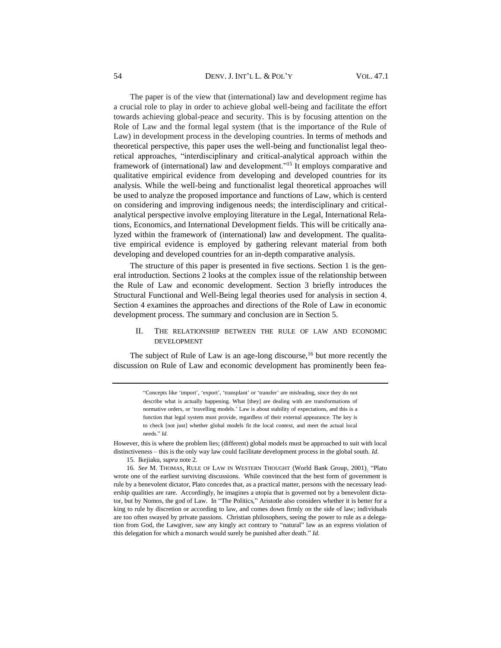The paper is of the view that (international) law and development regime has a crucial role to play in order to achieve global well-being and facilitate the effort towards achieving global-peace and security. This is by focusing attention on the Role of Law and the formal legal system (that is the importance of the Rule of Law) in development process in the developing countries. In terms of methods and theoretical perspective, this paper uses the well-being and functionalist legal theoretical approaches, "interdisciplinary and critical-analytical approach within the framework of (international) law and development."<sup>15</sup> It employs comparative and qualitative empirical evidence from developing and developed countries for its analysis. While the well-being and functionalist legal theoretical approaches will be used to analyze the proposed importance and functions of Law, which is centerd on considering and improving indigenous needs; the interdisciplinary and criticalanalytical perspective involve employing literature in the Legal, International Relations, Economics, and International Development fields. This will be critically analyzed within the framework of (international) law and development. The qualitative empirical evidence is employed by gathering relevant material from both developing and developed countries for an in-depth comparative analysis.

The structure of this paper is presented in five sections. Section 1 is the general introduction. Sections 2 looks at the complex issue of the relationship between the Rule of Law and economic development. Section 3 briefly introduces the Structural Functional and Well-Being legal theories used for analysis in section 4. Section 4 examines the approaches and directions of the Role of Law in economic development process. The summary and conclusion are in Section 5.

#### II. THE RELATIONSHIP BETWEEN THE RULE OF LAW AND ECONOMIC DEVELOPMENT

The subject of Rule of Law is an age-long discourse, $16$  but more recently the discussion on Rule of Law and economic development has prominently been fea-

> "Concepts like 'import', 'export', 'transplant' or 'transfer' are misleading, since they do not describe what is actually happening. What [they] are dealing with are transformations of normative orders, or 'travelling models.' Law is about stability of expectations, and this is a function that legal system must provide, regardless of their external appearance. The key is to check [not just] whether global models fit the local context, and meet the actual local needs." *Id.*

However, this is where the problem lies; (different) global models must be approached to suit with local distinctiveness – this is the only way law could facilitate development process in the global south. *Id.*

15. Ikejiaku, *supra* note 2.

16*. See* M. THOMAS, RULE OF LAW IN WESTERN THOUGHT (World Bank Group, 2001). "Plato wrote one of the earliest surviving discussions. While convinced that the best form of government is rule by a benevolent dictator, Plato concedes that, as a practical matter, persons with the necessary leadership qualities are rare. Accordingly, he imagines a utopia that is governed not by a benevolent dictator, but by Nomos, the god of Law. In "The Politics," Aristotle also considers whether it is better for a king to rule by discretion or according to law, and comes down firmly on the side of law; individuals are too often swayed by private passions. Christian philosophers, seeing the power to rule as a delegation from God, the Lawgiver, saw any kingly act contrary to "natural" law as an express violation of this delegation for which a monarch would surely be punished after death." *Id.*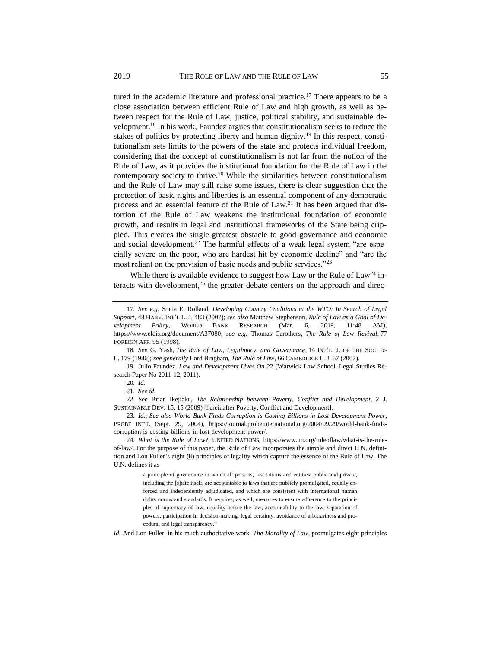tured in the academic literature and professional practice.<sup>17</sup> There appears to be a close association between efficient Rule of Law and high growth, as well as between respect for the Rule of Law, justice, political stability, and sustainable development.<sup>18</sup> In his work, Faundez argues that constitutionalism seeks to reduce the stakes of politics by protecting liberty and human dignity.<sup>19</sup> In this respect, constitutionalism sets limits to the powers of the state and protects individual freedom, considering that the concept of constitutionalism is not far from the notion of the Rule of Law, as it provides the institutional foundation for the Rule of Law in the contemporary society to thrive.<sup>20</sup> While the similarities between constitutionalism and the Rule of Law may still raise some issues, there is clear suggestion that the protection of basic rights and liberties is an essential component of any democratic process and an essential feature of the Rule of Law.<sup>21</sup> It has been argued that distortion of the Rule of Law weakens the institutional foundation of economic growth, and results in legal and institutional frameworks of the State being crippled. This creates the single greatest obstacle to good governance and economic and social development.<sup>22</sup> The harmful effects of a weak legal system "are especially severe on the poor, who are hardest hit by economic decline" and "are the most reliant on the provision of basic needs and public services."<sup>23</sup>

While there is available evidence to suggest how Law or the Rule of  $Law<sup>24</sup>$  interacts with development,<sup>25</sup> the greater debate centers on the approach and direc-

*Id.* And Lon Fuller, in his much authoritative work, *The Morality of Law*, promulgates eight principles

<sup>17</sup>*. See e.g.* Sonia E. Rolland, *Developing Country Coalitions at the WTO: In Search of Legal Support*, 48 HARV. INT'L L. J. 483 (2007); *see also* Matthew Stephenson, *Rule of Law as a Goal of Development Policy*, WORLD BANK RESEARCH (Mar. 6, 2019, 11:48 AM), https://www.eldis.org/document/A37080; *see e.g.* Thomas Carothers, *The Rule of Law Revival*, 77 FOREIGN AFF. 95 (1998).

<sup>18</sup>*. See* G. Yash, *The Rule of Law, Legitimacy, and Governance*, 14 INT'L. J. OF THE SOC. OF L. 179 (1986); *see generally* Lord Bingham, *The Rule of Law*, 66 CAMBRIDGE L. J. 67 (2007).

<sup>19.</sup> Julio Faundez, *Law and Development Lives On* 22 (Warwick Law School, Legal Studies Research Paper No 2011-12, 2011).

<sup>20</sup>*. Id.*

<sup>21</sup>*. See id.*

<sup>22.</sup> See Brian Ikejiaku, *The Relationship between Poverty, Conflict and Development*, 2 J. SUSTAINABLE DEV. 15, 15 (2009) [hereinafter Poverty, Conflict and Development].

<sup>23</sup>*. Id*.; *See also World Bank Finds Corruption is Costing Billions in Lost Development Power*, PROBE INT'L (Sept. 29, 2004), https://journal.probeinternational.org/2004/09/29/world-bank-findscorruption-is-costing-billions-in-lost-development-power/.

<sup>24</sup>*. What is the Rule of Law*?, UNITED NATIONS, https://www.un.org/ruleoflaw/what-is-the-ruleof-law/. For the purpose of this paper, the Rule of Law incorporates the simple and direct U.N. definition and Lon Fuller's eight (8) principles of legality which capture the essence of the Rule of Law. The U.N. defines it as

a principle of governance in which all persons, institutions and entities, public and private, including the [s]tate itself, are accountable to laws that are publicly promulgated, equally enforced and independently adjudicated, and which are consistent with international human rights norms and standards. It requires, as well, measures to ensure adherence to the principles of supremacy of law, equality before the law, accountability to the law, separation of powers, participation in decision-making, legal certainty, avoidance of arbitrariness and procedural and legal transparency."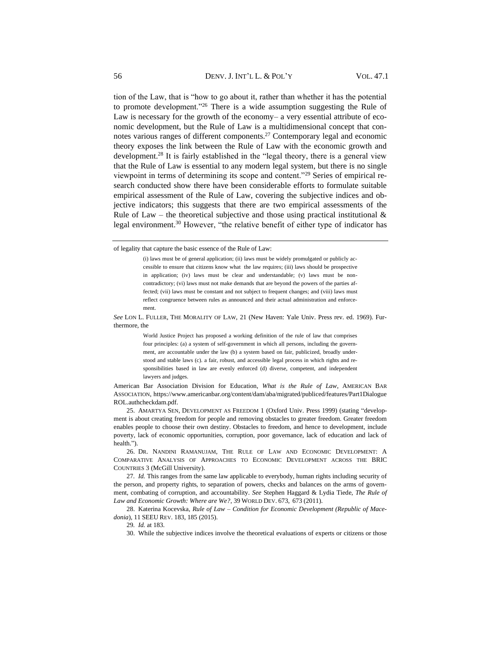tion of the Law, that is "how to go about it, rather than whether it has the potential to promote development."<sup>26</sup> There is a wide assumption suggesting the Rule of Law is necessary for the growth of the economy– a very essential attribute of economic development, but the Rule of Law is a multidimensional concept that connotes various ranges of different components.<sup>27</sup> Contemporary legal and economic theory exposes the link between the Rule of Law with the economic growth and development.<sup>28</sup> It is fairly established in the "legal theory, there is a general view that the Rule of Law is essential to any modern legal system, but there is no single viewpoint in terms of determining its scope and content."<sup>29</sup> Series of empirical research conducted show there have been considerable efforts to formulate suitable empirical assessment of the Rule of Law, covering the subjective indices and objective indicators; this suggests that there are two empirical assessments of the Rule of Law – the theoretical subjective and those using practical institutional  $\&$ legal environment.<sup>30</sup> However, "the relative benefit of either type of indicator has

*See* LON L. FULLER, THE MORALITY OF LAW, 21 (New Haven: Yale Univ. Press rev. ed. 1969). Furthermore, the

> World Justice Project has proposed a working definition of the rule of law that comprises four principles: (a) a system of self-government in which all persons, including the government, are accountable under the law (b) a system based on fair, publicized, broadly understood and stable laws (c). a fair, robust, and accessible legal process in which rights and responsibilities based in law are evenly enforced (d) diverse, competent, and independent lawyers and judges.

26. DR. NANDINI RAMANUJAM, THE RULE OF LAW AND ECONOMIC DEVELOPMENT: A COMPARATIVE ANALYSIS OF APPROACHES TO ECONOMIC DEVELOPMENT ACROSS THE BRIC COUNTRIES 3 (McGill University).

29*. Id.* at 183.

30. While the subjective indices involve the theoretical evaluations of experts or citizens or those

of legality that capture the basic essence of the Rule of Law:

<sup>(</sup>i) laws must be of general application; (ii) laws must be widely promulgated or publicly accessible to ensure that citizens know what the law requires; (iii) laws should be prospective in application; (iv) laws must be clear and understandable; (v) laws must be noncontradictory; (vi) laws must not make demands that are beyond the powers of the parties affected; (vii) laws must be constant and not subject to frequent changes; and (viii) laws must reflect congruence between rules as announced and their actual administration and enforcement.

American Bar Association Division for Education, *What is the Rule of Law*, AMERICAN BAR ASSOCIATION, https://www.americanbar.org/content/dam/aba/migrated/publiced/features/Part1Dialogue ROL.authcheckdam.pdf.

<sup>25.</sup> AMARTYA SEN, DEVELOPMENT AS FREEDOM 1 (Oxford Univ. Press 1999) (stating "development is about creating freedom for people and removing obstacles to greater freedom. Greater freedom enables people to choose their own destiny. Obstacles to freedom, and hence to development, include poverty, lack of economic opportunities, corruption, poor governance, lack of education and lack of health.").

<sup>27</sup>*. Id.* This ranges from the same law applicable to everybody, human rights including security of the person, and property rights, to separation of powers, checks and balances on the arms of government, combating of corruption, and accountability. *See* Stephen Haggard & Lydia Tiede, *The Rule of Law and Economic Growth: Where are We?*, 39 WORLD DEV. 673, 673 (2011).

<sup>28.</sup> Katerina Kocevska, *Rule of Law – Condition for Economic Development (Republic of Macedonia*), 11 SEEU REV. 183, 185 (2015).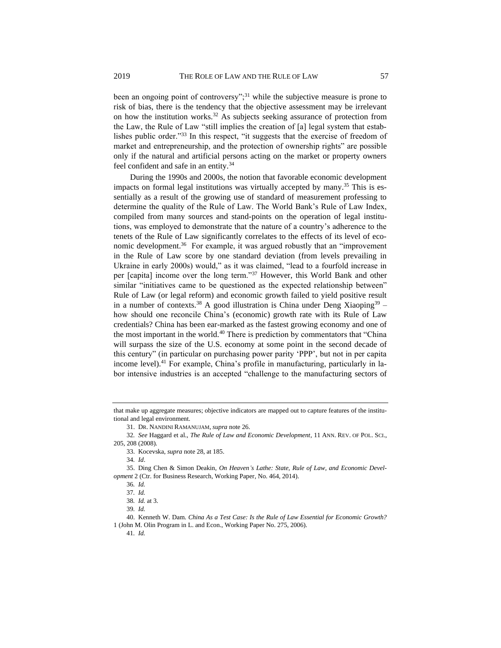been an ongoing point of controversy";<sup>31</sup> while the subjective measure is prone to risk of bias, there is the tendency that the objective assessment may be irrelevant on how the institution works.<sup>32</sup> As subjects seeking assurance of protection from the Law, the Rule of Law "still implies the creation of [a] legal system that establishes public order."<sup>33</sup> In this respect, "it suggests that the exercise of freedom of market and entrepreneurship, and the protection of ownership rights" are possible only if the natural and artificial persons acting on the market or property owners feel confident and safe in an entity.<sup>34</sup>

During the 1990s and 2000s, the notion that favorable economic development impacts on formal legal institutions was virtually accepted by many.<sup>35</sup> This is essentially as a result of the growing use of standard of measurement professing to determine the quality of the Rule of Law. The World Bank's Rule of Law Index, compiled from many sources and stand-points on the operation of legal institutions, was employed to demonstrate that the nature of a country's adherence to the tenets of the Rule of Law significantly correlates to the effects of its level of economic development.<sup>36</sup> For example, it was argued robustly that an "improvement in the Rule of Law score by one standard deviation (from levels prevailing in Ukraine in early 2000s) would," as it was claimed, "lead to a fourfold increase in per [capita] income over the long term."<sup>37</sup> However, this World Bank and other similar "initiatives came to be questioned as the expected relationship between" Rule of Law (or legal reform) and economic growth failed to yield positive result in a number of contexts.<sup>38</sup> A good illustration is China under Deng Xiaoping<sup>39</sup> – how should one reconcile China's (economic) growth rate with its Rule of Law credentials? China has been ear-marked as the fastest growing economy and one of the most important in the world.<sup>40</sup> There is prediction by commentators that "China" will surpass the size of the U.S. economy at some point in the second decade of this century" (in particular on purchasing power parity 'PPP', but not in per capita income level).<sup>41</sup> For example, China's profile in manufacturing, particularly in labor intensive industries is an accepted "challenge to the manufacturing sectors of

40. Kenneth W. Dam. *China As a Test Case: Is the Rule of Law Essential for Economic Growth?*  1 (John M. Olin Program in L. and Econ., Working Paper No. 275, 2006).

41*. Id.*

that make up aggregate measures; objective indicators are mapped out to capture features of the institutional and legal environment.

<sup>31.</sup> DR. NANDINI RAMANUJAM, *supra* note 26.

<sup>32</sup>*. See* Haggard et al., *The Rule of Law and Economic Development*, 11 ANN. REV. OF POL. SCI., 205, 208 (2008).

<sup>33.</sup> Kocevska, *supra* note 28, at 185.

<sup>34</sup>*. Id*.

<sup>35.</sup> Ding Chen & Simon Deakin, *On Heaven's Lathe: State, Rule of Law, and Economic Development* 2 (Ctr. for Business Research, Working Paper*,* No. 464, 2014).

<sup>36</sup>*. Id.*

<sup>37</sup>*. Id.*

<sup>38</sup>*. Id.* at 3.

<sup>39</sup>*. Id.*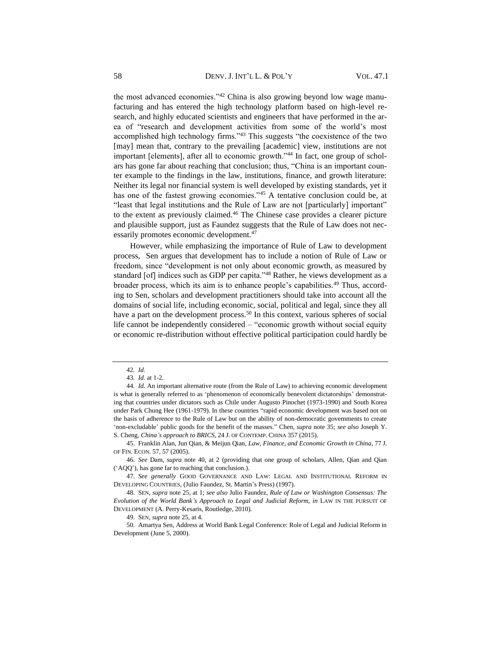the most advanced economies."<sup>42</sup> China is also growing beyond low wage manufacturing and has entered the high technology platform based on high-level research, and highly educated scientists and engineers that have performed in the area of "research and development activities from some of the world's most accomplished high technology firms."<sup>43</sup> This suggests "the coexistence of the two [may] mean that, contrary to the prevailing [academic] view, institutions are not important [elements], after all to economic growth."<sup>44</sup> In fact, one group of scholars has gone far about reaching that conclusion; thus, "China is an important counter example to the findings in the law, institutions, finance, and growth literature: Neither its legal nor financial system is well developed by existing standards, yet it has one of the fastest growing economies."<sup>45</sup> A tentative conclusion could be, at "least that legal institutions and the Rule of Law are not [particularly] important" to the extent as previously claimed.<sup>46</sup> The Chinese case provides a clearer picture and plausible support, just as Faundez suggests that the Rule of Law does not necessarily promotes economic development.<sup>47</sup>

However, while emphasizing the importance of Rule of Law to development process, Sen argues that development has to include a notion of Rule of Law or freedom, since "development is not only about economic growth, as measured by standard [of] indices such as GDP per capita."<sup>48</sup> Rather, he views development as a broader process, which its aim is to enhance people's capabilities.<sup>49</sup> Thus, according to Sen, scholars and development practitioners should take into account all the domains of social life, including economic, social, political and legal, since they all have a part on the development process.<sup>50</sup> In this context, various spheres of social life cannot be independently considered – "economic growth without social equity or economic re-distribution without effective political participation could hardly be

45. Franklin Alan, Jun Qian, & Meijun Qian, *Law, Finance, and Economic Growth in China*, 77 J. OF FIN. ECON. 57, 57 (2005).

46*. See* Dam, *supra* note 40, at 2 (providing that one group of scholars, Allen, Qian and Qian ('AQQ'), has gone far to reaching that conclusion.).

47*. See generally* GOOD GOVERNANCE AND LAW: LEGAL AND INSTITUTIONAL REFORM IN DEVELOPING COUNTRIES, (Julio Faundez, St. Martin's Press) (1997).

48. SEN, *supra* note 25, at 1; *see also* Julio Faundez, *Rule of Law or Washington Consensus: The Evolution of the World Bank's Approach to Legal and Judicial Reform*, *in* LAW IN THE PURSUIT OF DEVELOPMENT (A. Perry-Kesaris, Routledge, 2010).

49. SEN, *supra* note 25, at 4.

50. Amartya Sen, Address at World Bank Legal Conference: Role of Legal and Judicial Reform in Development (June 5, 2000).

<sup>42</sup>*. Id.*

<sup>43</sup>*. Id.* at 1-2.

<sup>44</sup>*. Id.* An important alternative route (from the Rule of Law) to achieving economic development is what is generally referred to as 'phenomenon of economically benevolent dictatorships' demonstrating that countries under dictators such as Chile under Augusto Pinochet (1973-1990) and South Korea under Park Chung Hee (1961-1979). In these countries "rapid economic development was based not on the basis of adherence to the Rule of Law but on the ability of non-democratic governments to create 'non-excludable' public goods for the benefit of the masses." Chen, *supra* note 35; *see also* Joseph Y. S. Cheng, *China's approach to BRICS*, 24 J. OF CONTEMP. CHINA 357 (2015).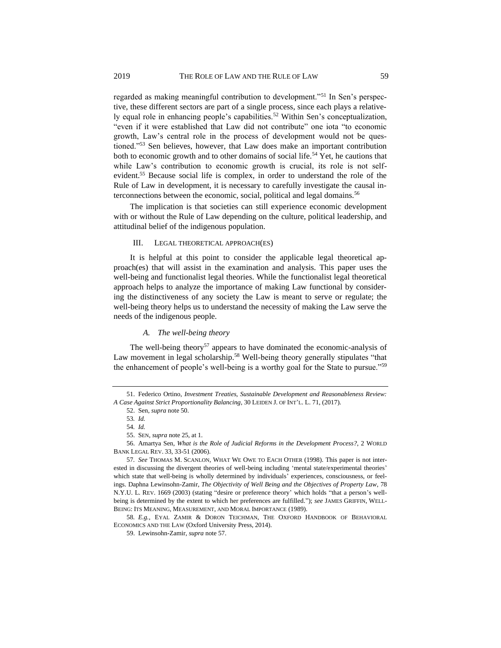regarded as making meaningful contribution to development."<sup>51</sup> In Sen's perspective, these different sectors are part of a single process, since each plays a relatively equal role in enhancing people's capabilities.<sup>52</sup> Within Sen's conceptualization, "even if it were established that Law did not contribute" one iota "to economic growth, Law's central role in the process of development would not be questioned."<sup>53</sup> Sen believes, however, that Law does make an important contribution both to economic growth and to other domains of social life.<sup>54</sup> Yet, he cautions that while Law's contribution to economic growth is crucial, its role is not selfevident.<sup>55</sup> Because social life is complex, in order to understand the role of the Rule of Law in development, it is necessary to carefully investigate the causal interconnections between the economic, social, political and legal domains.<sup>56</sup>

The implication is that societies can still experience economic development with or without the Rule of Law depending on the culture, political leadership, and attitudinal belief of the indigenous population.

#### III. LEGAL THEORETICAL APPROACH(ES)

It is helpful at this point to consider the applicable legal theoretical approach(es) that will assist in the examination and analysis. This paper uses the well-being and functionalist legal theories. While the functionalist legal theoretical approach helps to analyze the importance of making Law functional by considering the distinctiveness of any society the Law is meant to serve or regulate; the well-being theory helps us to understand the necessity of making the Law serve the needs of the indigenous people.

#### *A. The well-being theory*

The well-being theory<sup>57</sup> appears to have dominated the economic-analysis of Law movement in legal scholarship.<sup>58</sup> Well-being theory generally stipulates "that the enhancement of people's well-being is a worthy goal for the State to pursue."<sup>59</sup>

56. Amartya Sen, *What is the Role of Judicial Reforms in the Development Process?*, 2 WORLD BANK LEGAL REV. 33*,* 33-51 (2006).

58*. E.g.,* EYAL ZAMIR & DORON TEICHMAN, THE OXFORD HANDBOOK OF BEHAVIORAL ECONOMICS AND THE LAW (Oxford University Press, 2014).

<sup>51.</sup> Federico Ortino, *Investment Treaties, Sustainable Development and Reasonableness Review: A Case Against Strict Proportionality Balancing*, 30 LEIDEN J. OF INT'L. L. 71, (2017).

<sup>52.</sup> Sen, *supra* note 50.

<sup>53</sup>*. Id.*

<sup>54</sup>*. Id.*

<sup>55.</sup> SEN, *supra* note 25, at 1.

<sup>57</sup>*. See* THOMAS M. SCANLON, WHAT WE OWE TO EACH OTHER (1998). This paper is not interested in discussing the divergent theories of well-being including 'mental state/experimental theories' which state that well-being is wholly determined by individuals' experiences, consciousness, or feelings. Daphna Lewinsohn-Zamir, *The Objectivity of Well Being and the Objectives of Property Law*, 78 N.Y.U. L. REV. 1669 (2003) (stating "desire or preference theory' which holds "that a person's wellbeing is determined by the extent to which her preferences are fulfilled."); *see* JAMES GRIFFIN, WELL-BEING: ITS MEANING, MEASUREMENT, AND MORAL IMPORTANCE (1989).

<sup>59.</sup> Lewinsohn-Zamir, *supra* note 57.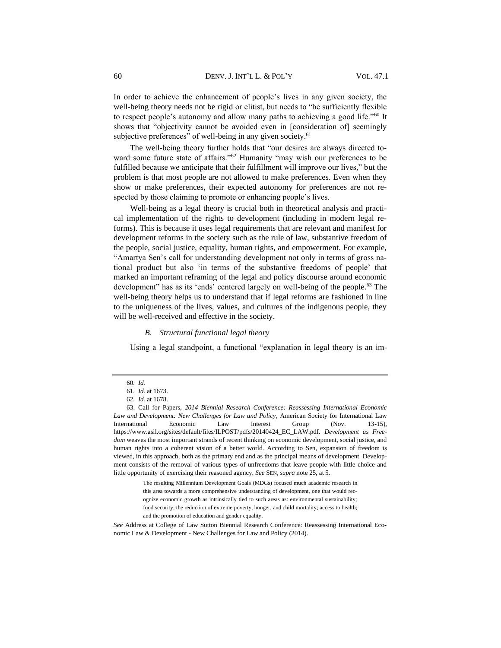In order to achieve the enhancement of people's lives in any given society, the well-being theory needs not be rigid or elitist, but needs to "be sufficiently flexible to respect people's autonomy and allow many paths to achieving a good life."<sup>60</sup> It shows that "objectivity cannot be avoided even in [consideration of] seemingly subjective preferences" of well-being in any given society.<sup>61</sup>

The well-being theory further holds that "our desires are always directed toward some future state of affairs."<sup>62</sup> Humanity "may wish our preferences to be fulfilled because we anticipate that their fulfillment will improve our lives," but the problem is that most people are not allowed to make preferences. Even when they show or make preferences, their expected autonomy for preferences are not respected by those claiming to promote or enhancing people's lives.

Well-being as a legal theory is crucial both in theoretical analysis and practical implementation of the rights to development (including in modern legal reforms). This is because it uses legal requirements that are relevant and manifest for development reforms in the society such as the rule of law, substantive freedom of the people, social justice, equality, human rights, and empowerment. For example, "Amartya Sen's call for understanding development not only in terms of gross national product but also 'in terms of the substantive freedoms of people' that marked an important reframing of the legal and policy discourse around economic development" has as its 'ends' centered largely on well-being of the people.<sup>63</sup> The well-being theory helps us to understand that if legal reforms are fashioned in line to the uniqueness of the lives, values, and cultures of the indigenous people, they will be well-received and effective in the society.

#### *B. Structural functional legal theory*

Using a legal standpoint, a functional "explanation in legal theory is an im-

<sup>60</sup>*. Id.*

<sup>61</sup>*. Id.* at 1673.

<sup>62</sup>*. Id.* at 1678.

<sup>63.</sup> Call for Papers, *2014 Biennial Research Conference: Reassessing International Economic Law and Development: New Challenges for Law and Policy*, American Society for International Law International Economic Law Interest Group (Nov. 13-15), https://www.asil.org/sites/default/files/ILPOST/pdfs/20140424\_EC\_LAW.pdf. *Development as Freedom* weaves the most important strands of recent thinking on economic development, social justice, and human rights into a coherent vision of a better world. According to Sen, expansion of freedom is viewed, in this approach, both as the primary end and as the principal means of development. Development consists of the removal of various types of unfreedoms that leave people with little choice and little opportunity of exercising their reasoned agency. *See* SEN, *supra* note 25, at 5.

The resulting Millennium Development Goals (MDGs) focused much academic research in this area towards a more comprehensive understanding of development, one that would recognize economic growth as intrinsically tied to such areas as: environmental sustainability; food security; the reduction of extreme poverty, hunger, and child mortality; access to health; and the promotion of education and gender equality.

*See* Address at College of Law Sutton Biennial Research Conference: Reassessing International Economic Law & Development - New Challenges for Law and Policy (2014).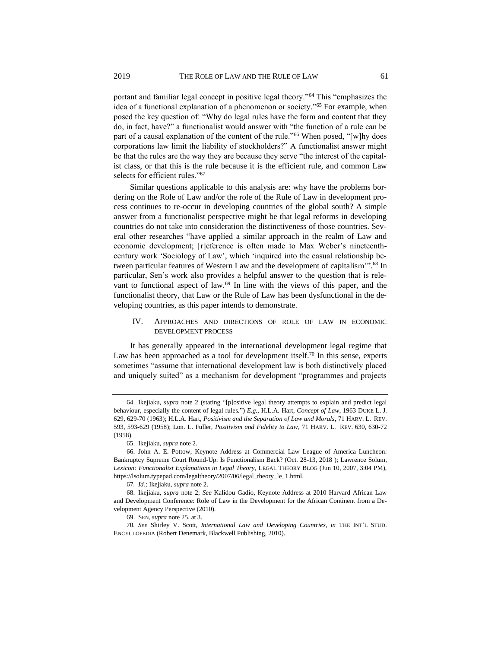portant and familiar legal concept in positive legal theory."<sup>64</sup> This "emphasizes the idea of a functional explanation of a phenomenon or society."<sup>65</sup> For example, when posed the key question of: "Why do legal rules have the form and content that they do, in fact, have?" a functionalist would answer with "the function of a rule can be part of a causal explanation of the content of the rule."<sup>66</sup> When posed, "[w]hy does corporations law limit the liability of stockholders?" A functionalist answer might be that the rules are the way they are because they serve "the interest of the capitalist class, or that this is the rule because it is the efficient rule, and common Law selects for efficient rules."67

Similar questions applicable to this analysis are: why have the problems bordering on the Role of Law and/or the role of the Rule of Law in development process continues to re-occur in developing countries of the global south? A simple answer from a functionalist perspective might be that legal reforms in developing countries do not take into consideration the distinctiveness of those countries. Several other researches "have applied a similar approach in the realm of Law and economic development; [r]eference is often made to Max Weber's nineteenthcentury work 'Sociology of Law', which 'inquired into the casual relationship between particular features of Western Law and the development of capitalism"<sup>58</sup> In particular, Sen's work also provides a helpful answer to the question that is relevant to functional aspect of law.<sup>69</sup> In line with the views of this paper, and the functionalist theory, that Law or the Rule of Law has been dysfunctional in the developing countries, as this paper intends to demonstrate.

#### IV. APPROACHES AND DIRECTIONS OF ROLE OF LAW IN ECONOMIC DEVELOPMENT PROCESS

It has generally appeared in the international development legal regime that Law has been approached as a tool for development itself.<sup>70</sup> In this sense, experts sometimes "assume that international development law is both distinctively placed and uniquely suited" as a mechanism for development "programmes and projects

<sup>64.</sup> Ikejiaku, *supra* note 2 (stating "[p]ositive legal theory attempts to explain and predict legal behaviour, especially the content of legal rules.") *E.g.*, H.L.A. Hart, *Concept of Law*, 1963 DUKE L. J. 629, 629-70 (1963); H.L.A. Hart, *Positivism and the Separation of Law and Morals*, 71 HARV. L. REV. 593, 593-629 (1958); Lon. L. Fuller, *Positivism and Fidelity to Law*, 71 HARV. L. REV. 630, 630-72 (1958).

<sup>65.</sup> Ikejiaku, *supra* note 2.

<sup>66.</sup> John A. E. Pottow, Keynote Address at Commercial Law League of America Luncheon: Bankruptcy Supreme Court Round-Up: Is Functionalism Back? (Oct. 28-13, 2018 ); Lawrence Solum, *Lexicon: Functionalist Explanations in Legal Theory,* LEGAL THEORY BLOG (Jun 10, 2007, 3:04 PM), https://lsolum.typepad.com/legaltheory/2007/06/legal\_theory\_le\_1.html.

<sup>67</sup>*. Id.;* Ikejiaku, *supra* note 2.

<sup>68.</sup> Ikejiaku, *supra* note 2; *See* Kalidou Gadio, Keynote Address at 2010 Harvard African Law and Development Conference: Role of Law in the Development for the African Continent from a Development Agency Perspective (2010).

<sup>69.</sup> SEN, *supra* note 25, at 3.

<sup>70</sup>*. See* Shirley V. Scott, *International Law and Developing Countries*, *in* THE INT'L STUD. ENCYCLOPEDIA (Robert Denemark, Blackwell Publishing, 2010).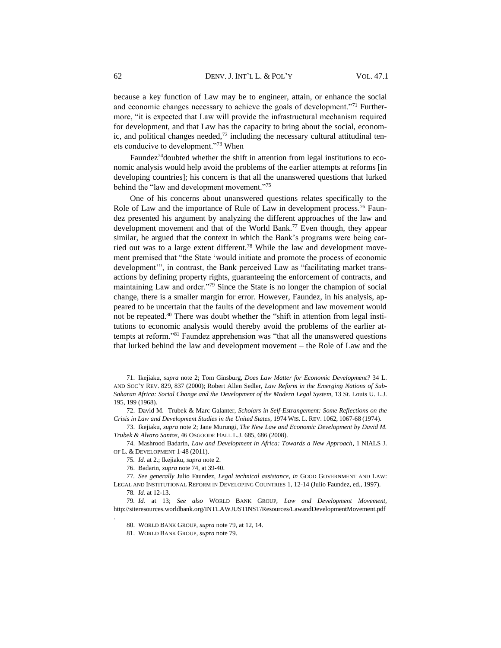because a key function of Law may be to engineer, attain, or enhance the social and economic changes necessary to achieve the goals of development."<sup>71</sup> Furthermore, "it is expected that Law will provide the infrastructural mechanism required for development, and that Law has the capacity to bring about the social, economic, and political changes needed, $72$  including the necessary cultural attitudinal tenets conducive to development."<sup>73</sup> When

Faundez<sup>74</sup> doubted whether the shift in attention from legal institutions to economic analysis would help avoid the problems of the earlier attempts at reforms [in developing countries]; his concern is that all the unanswered questions that lurked behind the "law and development movement."<sup>75</sup>

One of his concerns about unanswered questions relates specifically to the Role of Law and the importance of Rule of Law in development process.<sup>76</sup> Faundez presented his argument by analyzing the different approaches of the law and development movement and that of the World Bank.<sup>77</sup> Even though, they appear similar, he argued that the context in which the Bank's programs were being carried out was to a large extent different.<sup>78</sup> While the law and development movement premised that "the State 'would initiate and promote the process of economic development'", in contrast, the Bank perceived Law as "facilitating market transactions by defining property rights, guaranteeing the enforcement of contracts, and maintaining Law and order."<sup>79</sup> Since the State is no longer the champion of social change, there is a smaller margin for error. However, Faundez, in his analysis, appeared to be uncertain that the faults of the development and law movement would not be repeated.<sup>80</sup> There was doubt whether the "shift in attention from legal institutions to economic analysis would thereby avoid the problems of the earlier attempts at reform."<sup>81</sup> Faundez apprehension was "that all the unanswered questions that lurked behind the law and development movement – the Role of Law and the

<sup>71.</sup> Ikejiaku, *supra* note 2; Tom Ginsburg, *Does Law Matter for Economic Development?* 34 L. AND SOC'Y REV. 829, 837 (2000); Robert Allen Sedler, *Law Reform in the Emerging Nations of Sub-Saharan Africa: Social Change and the Development of the Modern Legal System*, 13 St. Louis U. L.J. 195, 199 (1968).

<sup>72.</sup> David M. Trubek & Marc Galanter, *Scholars in Self-Estrangement: Some Reflections on the Crisis in Law and Development Studies in the United States*, 1974 WIS. L. REV. 1062, 1067-68 (1974).

<sup>73.</sup> Ikejiaku, *supra* note 2; Jane Murungi, *The New Law and Economic Development by David M. Trubek & Alvaro Santos*, 46 OSGOODE HALL L.J. 685, 686 (2008).

<sup>74.</sup> Mashrood Badarin, *Law and Development in Africa: Towards a New Approach*, 1 NIALS J. OF L. & DEVELOPMENT 1-48 (2011).

<sup>75</sup>*. Id.* at 2.; Ikejiaku, *supra* note 2.

<sup>76.</sup> Badarin, *supra* note 74, at 39-40.

<sup>77</sup>*. See generally* Julio Faundez, *Legal technical assistance*, *in* GOOD GOVERNMENT AND LAW: LEGAL AND INSTITUTIONAL REFORM IN DEVELOPING COUNTRIES 1, 12-14 (Julio Faundez, ed., 1997).

<sup>78</sup>*. Id.* at 12-13.

<sup>79</sup>*. Id.* at 13; *See also* WORLD BANK GROUP, *Law and Development Movement,* http://siteresources.worldbank.org/INTLAWJUSTINST/Resources/LawandDevelopmentMovement.pdf .

<sup>80.</sup> WORLD BANK GROUP, *supra* note 79, at 12, 14.

<sup>81.</sup> WORLD BANK GROUP*, supra* note 79.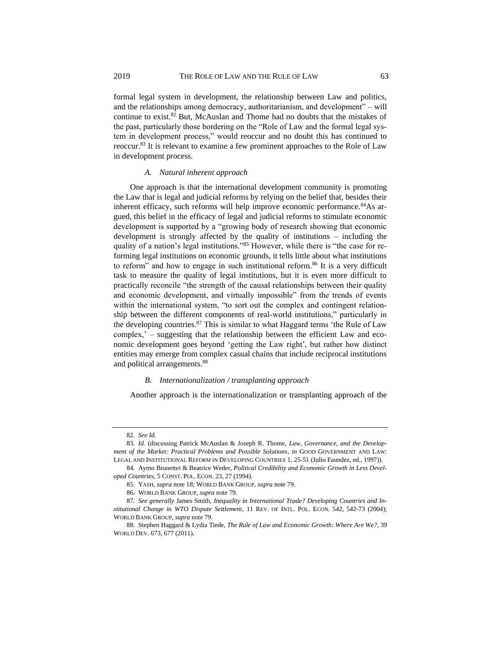formal legal system in development, the relationship between Law and politics, and the relationships among democracy, authoritarianism, and development" – will continue to exist.<sup>82</sup> But, McAuslan and Thome had no doubts that the mistakes of the past, particularly those bordering on the "Role of Law and the formal legal system in development process," would reoccur and no doubt this has continued to reoccur.<sup>83</sup> It is relevant to examine a few prominent approaches to the Role of Law in development process.

#### *A. Natural inherent approach*

One approach is that the international development community is promoting the Law that is legal and judicial reforms by relying on the belief that, besides their inherent efficacy, such reforms will help improve economic performance.<sup>84</sup>As argued, this belief in the efficacy of legal and judicial reforms to stimulate economic development is supported by a "growing body of research showing that economic development is strongly affected by the quality of institutions – including the quality of a nation's legal institutions."<sup>85</sup> However, while there is "the case for reforming legal institutions on economic grounds, it tells little about what institutions to reform" and how to engage in such institutional reform.<sup>86</sup> It is a very difficult task to measure the quality of legal institutions, but it is even more difficult to practically reconcile "the strength of the causal relationships between their quality and economic development, and virtually impossible" from the trends of events within the international system, "to sort out the complex and contingent relationship between the different components of real-world institutions," particularly in the developing countries. $87$  This is similar to what Haggard terms 'the Rule of Law complex,' – suggesting that the relationship between the efficient Law and economic development goes beyond 'getting the Law right', but rather how distinct entities may emerge from complex casual chains that include reciprocal institutions and political arrangements.<sup>88</sup>

#### *B. Internationalization / transplanting approach*

Another approach is the internationalization or transplanting approach of the

<sup>82</sup>*. See Id.*

<sup>83</sup>*. Id.* (discussing Patrick McAuslan & Joseph R. Thome, *Law, Governance, and the Development of the Market: Practical Problems and Possible Solutions*, *in* GOOD GOVERNMENT AND LAW: LEGAL AND INSTITUTIONAL REFORM IN DEVELOPING COUNTRIES 1, 25-51 (Julio Faundez, ed., 1997)).

<sup>84.</sup> Aymo Brunettei & Beatrice Weder, *Political Credibility and Economic Growth in Less Developed Countrie*s, 5 CONST. POL. ECON. 23, 27 (1994).

<sup>85.</sup> YASH, *supra* note 18; WORLD BANK GROUP, *supra* note 79.

<sup>86.</sup> WORLD BANK GROUP, *supra* note 79.

<sup>87</sup>*. See generally* James Smith, *Inequality in International Trade? Developing Countries and Institutional Change in WTO Dispute Settlement*, 11 REV. OF INTL. POL. ECON. 542, 542-73 (2004); WORLD BANK GROUP, *supra* note 79.

<sup>88.</sup> Stephen Haggard & Lydia Tiede, *The Rule of Law and Economic Growth: Where Are We?*, 39 WORLD DEV. 673, 677 (2011).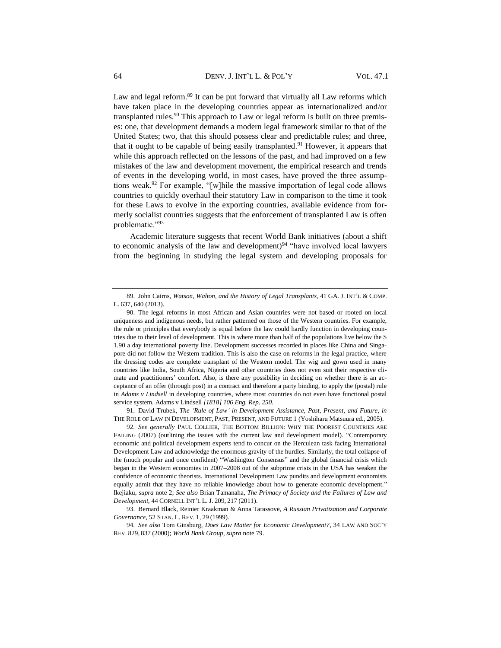Law and legal reform.<sup>89</sup> It can be put forward that virtually all Law reforms which have taken place in the developing countries appear as internationalized and/or transplanted rules.<sup>90</sup> This approach to Law or legal reform is built on three premises: one, that development demands a modern legal framework similar to that of the United States; two, that this should possess clear and predictable rules; and three, that it ought to be capable of being easily transplanted.<sup>91</sup> However, it appears that while this approach reflected on the lessons of the past, and had improved on a few mistakes of the law and development movement, the empirical research and trends of events in the developing world, in most cases, have proved the three assumptions weak.<sup>92</sup> For example, "[w]hile the massive importation of legal code allows countries to quickly overhaul their statutory Law in comparison to the time it took for these Laws to evolve in the exporting countries, available evidence from formerly socialist countries suggests that the enforcement of transplanted Law is often problematic."93

Academic literature suggests that recent World Bank initiatives (about a shift to economic analysis of the law and development)<sup>94</sup> "have involved local lawyers from the beginning in studying the legal system and developing proposals for

91. David Trubek, *The 'Rule of Law' in Development Assistance, Past, Present, and Future, in*  THE ROLE OF LAW IN DEVELOPMENT, PAST, PRESENT, AND FUTURE 1 (Yoshiharu Matsuura ed., 2005).

92*. See generally* PAUL COLLIER, THE BOTTOM BILLION: WHY THE POOREST COUNTRIES ARE FAILING (2007) (outlining the issues with the current law and development model). "Contemporary economic and political development experts tend to concur on the Herculean task facing International Development Law and acknowledge the enormous gravity of the hurdles. Similarly, the total collapse of the (much popular and once confident) "Washington Consensus" and the global financial crisis which began in the Western economies in 2007–2008 out of the subprime crisis in the USA has weaken the confidence of economic theorists. International Development Law pundits and development economists equally admit that they have no reliable knowledge about how to generate economic development." Ikejiaku, *supra* note 2; *See also* Brian Tamanaha, *The Primacy of Society and the Failures of Law and Development*, 44 CORNELL INT'L L. J. 209, 217 (2011).

93. Bernard Black, Reinier Kraakman & Anna Tarassove, *A Russian Privatization and Corporate Governance*, 52 STAN. L. REV. 1, 29 (1999).

94*. See also* Tom Ginsburg, *Does Law Matter for Economic Development?*, 34 LAW AND SOC'Y REV. 829, 837 (2000); *World Bank Group, supra* note 79.

<sup>89.</sup> John Cairns, *Watson, Walton, and the History of Legal Transplants*, 41 GA. J. INT'L & COMP. L. 637, 640 (2013).

<sup>90.</sup> The legal reforms in most African and Asian countries were not based or rooted on local uniqueness and indigenous needs, but rather patterned on those of the Western countries. For example, the rule or principles that everybody is equal before the law could hardly function in developing countries due to their level of development. This is where more than half of the populations live below the \$ 1.90 a day international poverty line. Development successes recorded in places like China and Singapore did not follow the Western tradition. This is also the case on reforms in the legal practice, where the dressing codes are complete transplant of the Western model. The wig and gown used in many countries like India, South Africa, Nigeria and other countries does not even suit their respective climate and practitioners' comfort. Also, is there any possibility in deciding on whether there is an acceptance of an offer (through post) in a contract and therefore a party binding, to apply the (postal) rule in *Adams v Lindsell* in developing countries, where most countries do not even have functional postal service system. Adams v Lindsell *[1818] 106 Eng. Rep. 250.*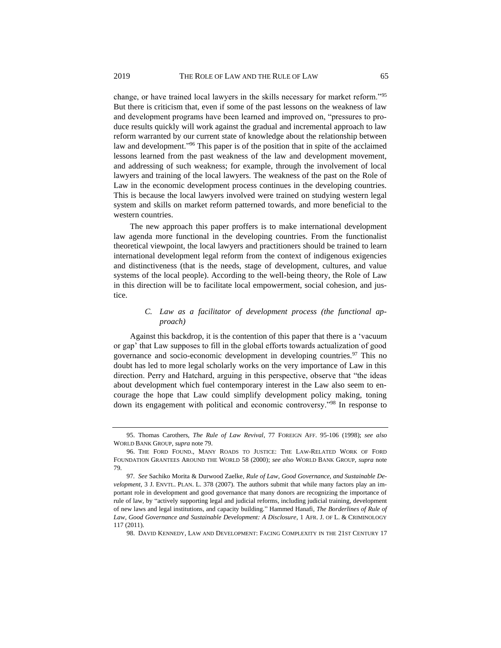change, or have trained local lawyers in the skills necessary for market reform."<sup>95</sup> But there is criticism that, even if some of the past lessons on the weakness of law and development programs have been learned and improved on, "pressures to produce results quickly will work against the gradual and incremental approach to law reform warranted by our current state of knowledge about the relationship between law and development."<sup>96</sup> This paper is of the position that in spite of the acclaimed lessons learned from the past weakness of the law and development movement, and addressing of such weakness; for example, through the involvement of local lawyers and training of the local lawyers. The weakness of the past on the Role of Law in the economic development process continues in the developing countries. This is because the local lawyers involved were trained on studying western legal system and skills on market reform patterned towards, and more beneficial to the western countries.

The new approach this paper proffers is to make international development law agenda more functional in the developing countries. From the functionalist theoretical viewpoint, the local lawyers and practitioners should be trained to learn international development legal reform from the context of indigenous exigencies and distinctiveness (that is the needs, stage of development, cultures, and value systems of the local people). According to the well-being theory, the Role of Law in this direction will be to facilitate local empowerment, social cohesion, and justice.

### *C. Law as a facilitator of development process (the functional approach)*

Against this backdrop, it is the contention of this paper that there is a 'vacuum or gap' that Law supposes to fill in the global efforts towards actualization of good governance and socio-economic development in developing countries.<sup>97</sup> This no doubt has led to more legal scholarly works on the very importance of Law in this direction. Perry and Hatchard, arguing in this perspective, observe that "the ideas about development which fuel contemporary interest in the Law also seem to encourage the hope that Law could simplify development policy making, toning down its engagement with political and economic controversy."<sup>98</sup> In response to

<sup>95.</sup> Thomas Carothers, *The Rule of Law Revival*, 77 FOREIGN AFF. 95-106 (1998); *see also* WORLD BANK GROUP, *supra* note 79.

<sup>96.</sup> THE FORD FOUND., MANY ROADS TO JUSTICE: THE LAW-RELATED WORK OF FORD FOUNDATION GRANTEES AROUND THE WORLD 58 (2000); *see also* WORLD BANK GROUP, *supra* note 79.

<sup>97</sup>*. See* Sachiko Morita & Durwood Zaelke, *Rule of Law, Good Governance, and Sustainable Development*, 3 J. ENVTL. PLAN. L. 378 (2007). The authors submit that while many factors play an important role in development and good governance that many donors are recognizing the importance of rule of law, by "actively supporting legal and judicial reforms, including judicial training, development of new laws and legal institutions, and capacity building." Hammed Hanafi, *The Borderlines of Rule of Law, Good Governance and Sustainable Development: A Disclosure*, 1 AFR. J. OF L. & CRIMINOLOGY 117 (2011).

<sup>98.</sup> DAVID KENNEDY, LAW AND DEVELOPMENT: FACING COMPLEXITY IN THE 21ST CENTURY 17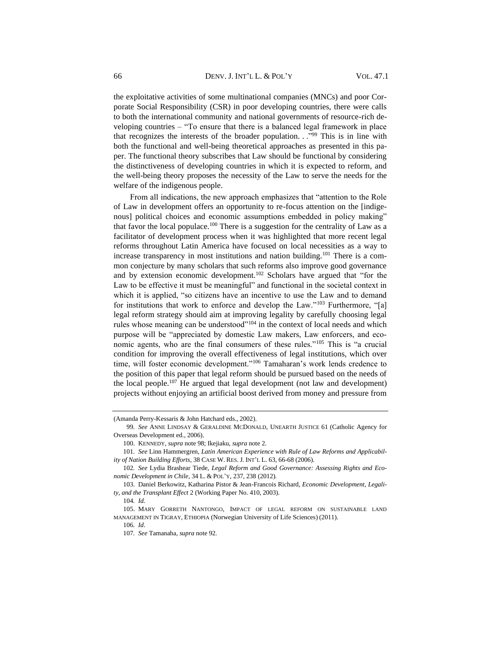the exploitative activities of some multinational companies (MNCs) and poor Corporate Social Responsibility (CSR) in poor developing countries, there were calls to both the international community and national governments of resource-rich developing countries – "To ensure that there is a balanced legal framework in place that recognizes the interests of the broader population. . ."<sup>99</sup> This is in line with both the functional and well-being theoretical approaches as presented in this paper. The functional theory subscribes that Law should be functional by considering the distinctiveness of developing countries in which it is expected to reform, and the well-being theory proposes the necessity of the Law to serve the needs for the welfare of the indigenous people.

From all indications, the new approach emphasizes that "attention to the Role of Law in development offers an opportunity to re-focus attention on the [indigenous] political choices and economic assumptions embedded in policy making" that favor the local populace.<sup>100</sup> There is a suggestion for the centrality of Law as a facilitator of development process when it was highlighted that more recent legal reforms throughout Latin America have focused on local necessities as a way to increase transparency in most institutions and nation building.<sup>101</sup> There is a common conjecture by many scholars that such reforms also improve good governance and by extension economic development.<sup>102</sup> Scholars have argued that "for the Law to be effective it must be meaningful" and functional in the societal context in which it is applied, "so citizens have an incentive to use the Law and to demand for institutions that work to enforce and develop the Law."<sup>103</sup> Furthermore, "[a] legal reform strategy should aim at improving legality by carefully choosing legal rules whose meaning can be understood"<sup>104</sup> in the context of local needs and which purpose will be "appreciated by domestic Law makers, Law enforcers, and economic agents, who are the final consumers of these rules."<sup>105</sup> This is "a crucial condition for improving the overall effectiveness of legal institutions, which over time, will foster economic development."<sup>106</sup> Tamaharan's work lends credence to the position of this paper that legal reform should be pursued based on the needs of the local people.<sup>107</sup> He argued that legal development (not law and development) projects without enjoying an artificial boost derived from money and pressure from

<sup>(</sup>Amanda Perry-Kessaris & John Hatchard eds., 2002).

<sup>99</sup>*. See* ANNE LINDSAY & GERALDINE MCDONALD, UNEARTH JUSTICE 61 (Catholic Agency for Overseas Development ed., 2006).

<sup>100.</sup> KENNEDY, *supra* note 98; Ikejiaku, *supra* note 2.

<sup>101</sup>*. See* Linn Hammergren, *Latin American Experience with Rule of Law Reforms and Applicability of Nation Building Efforts*, 38 CASE W. RES. J. INT'L L. 63, 66-68 (2006).

<sup>102</sup>*. See* Lydia Brashear Tiede, *Legal Reform and Good Governance: Assessing Rights and Economic Development in Chile*, 34 L. & POL'Y, 237, 238 (2012)*.*

<sup>103.</sup> Daniel Berkowitz, Katharina Pistor & Jean-Francois Richard, *Economic Development, Legality, and the Transplant Effect* 2 (Working Paper No. 410, 2003).

<sup>104</sup>*. Id.*

<sup>105.</sup> MARY GORRETH NANTONGO, IMPACT OF LEGAL REFORM ON SUSTAINABLE LAND MANAGEMENT IN TIGRAY, ETHIOPIA (Norwegian University of Life Sciences) (2011).

<sup>106</sup>*. Id*.

<sup>107</sup>*. See* Tamanaha*, supra* note 92*.*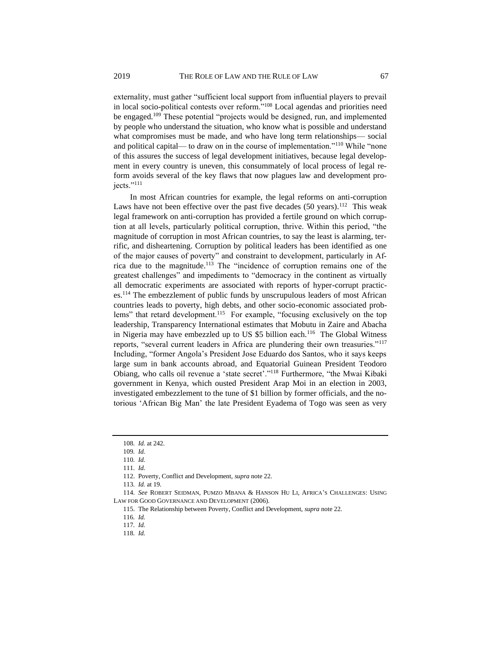externality, must gather "sufficient local support from influential players to prevail

in local socio-political contests over reform."<sup>108</sup> Local agendas and priorities need be engaged.<sup>109</sup> These potential "projects would be designed, run, and implemented by people who understand the situation, who know what is possible and understand what compromises must be made, and who have long term relationships— social and political capital— to draw on in the course of implementation."<sup>110</sup> While "none of this assures the success of legal development initiatives, because legal development in every country is uneven, this consummately of local process of legal reform avoids several of the key flaws that now plagues law and development projects."<sup>111</sup>

In most African countries for example, the legal reforms on anti-corruption Laws have not been effective over the past five decades  $(50 \text{ years})$ .<sup>112</sup> This weak legal framework on anti-corruption has provided a fertile ground on which corruption at all levels, particularly political corruption, thrive. Within this period, "the magnitude of corruption in most African countries, to say the least is alarming, terrific, and disheartening. Corruption by political leaders has been identified as one of the major causes of poverty" and constraint to development, particularly in Africa due to the magnitude.<sup>113</sup> The "incidence of corruption remains one of the greatest challenges" and impediments to "democracy in the continent as virtually all democratic experiments are associated with reports of hyper-corrupt practices.<sup>114</sup> The embezzlement of public funds by unscrupulous leaders of most African countries leads to poverty, high debts, and other socio-economic associated problems" that retard development.<sup>115</sup> For example, "focusing exclusively on the top leadership, Transparency International estimates that Mobutu in Zaire and Abacha in Nigeria may have embezzled up to US \$5 billion each.<sup>116</sup> The Global Witness reports, "several current leaders in Africa are plundering their own treasuries."<sup>117</sup> Including, "former Angola's President Jose Eduardo dos Santos, who it says keeps large sum in bank accounts abroad, and Equatorial Guinean President Teodoro Obiang, who calls oil revenue a 'state secret'."<sup>118</sup> Furthermore, "the Mwai Kibaki government in Kenya, which ousted President Arap Moi in an election in 2003, investigated embezzlement to the tune of \$1 billion by former officials, and the notorious 'African Big Man' the late President Eyadema of Togo was seen as very

<sup>108</sup>*. Id.* at 242.

<sup>109</sup>*. Id.*

<sup>110</sup>*. Id.*

<sup>111</sup>*. Id.*

<sup>112.</sup> Poverty, Conflict and Development, *supra* note 22.

<sup>113</sup>*. Id.* at 19.

<sup>114</sup>*. See* ROBERT SEIDMAN, PUMZO MBANA & HANSON HU LI, AFRICA'S CHALLENGES: USING LAW FOR GOOD GOVERNANCE AND DEVELOPMENT (2006).

<sup>115.</sup> The Relationship between Poverty, Conflict and Development, *supra* note 22.

<sup>116</sup>*. Id.*

<sup>117</sup>*. Id.*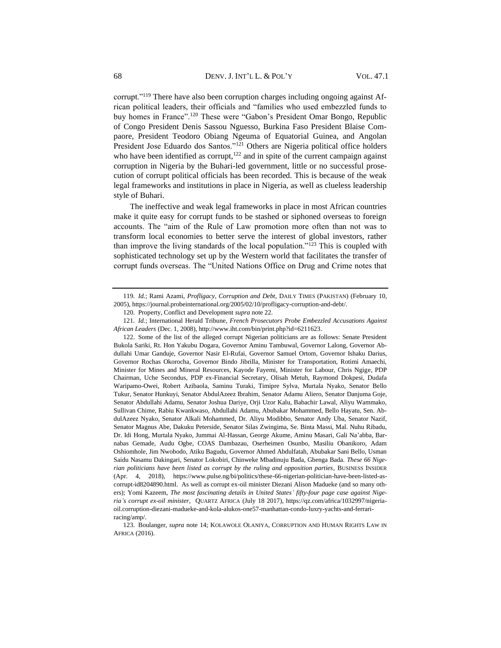corrupt."<sup>119</sup> There have also been corruption charges including ongoing against African political leaders, their officials and "families who used embezzled funds to buy homes in France".<sup>120</sup> These were "Gabon's President Omar Bongo, Republic of Congo President Denis Sassou Nguesso, Burkina Faso President Blaise Compaore, President Teodoro Obiang Ngeuma of Equatorial Guinea, and Angolan President Jose Eduardo dos Santos."<sup>121</sup> Others are Nigeria political office holders who have been identified as corrupt, $122$  and in spite of the current campaign against corruption in Nigeria by the Buhari-led government, little or no successful prosecution of corrupt political officials has been recorded. This is because of the weak legal frameworks and institutions in place in Nigeria, as well as clueless leadership style of Buhari.

The ineffective and weak legal frameworks in place in most African countries make it quite easy for corrupt funds to be stashed or siphoned overseas to foreign accounts. The "aim of the Rule of Law promotion more often than not was to transform local economies to better serve the interest of global investors, rather than improve the living standards of the local population."<sup>123</sup> This is coupled with sophisticated technology set up by the Western world that facilitates the transfer of corrupt funds overseas. The "United Nations Office on Drug and Crime notes that

<sup>119</sup>*. Id.*; Rami Azami, *Profligacy, Corruption and Debt*, DAILY TIMES (PAKISTAN) (February 10, 2005), https://journal.probeinternational.org/2005/02/10/profligacy-corruption-and-debt/.

<sup>120.</sup> Property, Conflict and Development *supra* note 22.

<sup>121</sup>*. Id.*; International Herald Tribune, *French Prosecutors Probe Embezzled Accusations Against African Leaders* (Dec. 1, 2008), http://www.iht.com/bin/print.php?id=6211623.

<sup>122.</sup> Some of the list of the alleged corrupt Nigerian politicians are as follows: Senate President Bukola Sariki, Rt. Hon Yakubu Dogara, Governor Aminu Tambuwal, Governor Lalong, Governor Abdullahi Umar Ganduje, Governor Nasir El-Rufai, Governor Samuel Ortom, Governor Ishaku Darius, Governor Rochas Okorocha, Governor Bindo Jibrilla, Minister for Transportation, Rotimi Amaechi, Minister for Mines and Mineral Resources, Kayode Fayemi, Minister for Labour, Chris Ngige, PDP Chairman, Uche Secondus, PDP ex-Financial Secretary, Olisah Metuh, Raymond Dokpesi, Dudafa Waripamo-Owei, Robert Azibaola, Saminu Turaki, Timipre Sylva, Murtala Nyako, Senator Bello Tukur, Senator Hunkuyi, Senator AbdulAzeez Ibrahim, Senator Adamu Aliero, Senator Danjuma Goje, Senator Abdullahi Adamu, Senator Joshua Dariye, Orji Uzor Kalu, Babachir Lawal, Aliyu Wammako, Sullivan Chime, Rabiu Kwankwaso, Abdullahi Adamu, Abubakar Mohammed, Bello Hayatu, Sen. AbdulAzeez Nyako, Senator Alkali Mohammed, Dr. Aliyu Modibbo, Senator Andy Uba, Senator Nazif, Senator Magnus Abe, Dakuku Peterside, Senator Silas Zwingima, Se. Binta Massi, Mal. Nuhu Ribadu, Dr. Idi Hong, Murtala Nyako, Jummai Al-Hassan, George Akume, Aminu Masari, Gali Na'abba, Barnabas Gemade, Audu Ogbe, COAS Dambazau, Oserheimen Osunbo, Masiliu Obanikoro, Adam Oshiomhole, Jim Nwobodo, Atiku Bagudu, Governor Ahmed Abdulfatah, Abubakar Sani Bello, Usman Saidu Nasamu Dakingari, Senator Lokobiri, Chinweke Mbadinuju Bada, Gbenga Bada. *These 66 Nigerian politicians have been listed as corrupt by the ruling and opposition parties*, BUSINESS INSIDER (Apr. 4, 2018), https://www.pulse.ng/bi/politics/these-66-nigerian-politician-have-been-listed-ascorrupt-id8204890.html. As well as corrupt ex-oil minister Diezani Alison Madueke (and so many others); Yomi Kazeem, *The most fascinating details in United States' fifty-four page case against Nigeria's corrupt ex-oil minister*, QUARTZ AFRICA (July 18 2017), https://qz.com/africa/1032997/nigeriaoil.corruption-diezani-madueke-and-kola-alukos-one57-manhattan-condo-luxry-yachts-and-ferrariracing/amp/.

<sup>123.</sup> Boulanger, *supra* note 14; KOLAWOLE OLANIYA, CORRUPTION AND HUMAN RIGHTS LAW IN AFRICA (2016).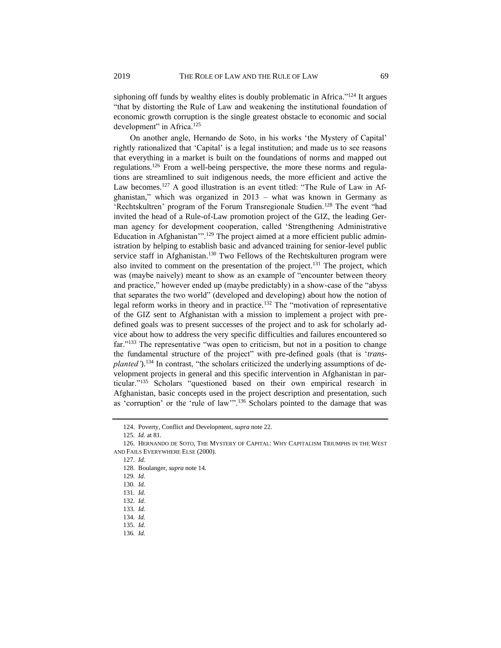siphoning off funds by wealthy elites is doubly problematic in Africa."<sup>124</sup> It argues "that by distorting the Rule of Law and weakening the institutional foundation of economic growth corruption is the single greatest obstacle to economic and social development" in Africa.<sup>125</sup>

On another angle, Hernando de Soto, in his works 'the Mystery of Capital' rightly rationalized that 'Capital' is a legal institution; and made us to see reasons that everything in a market is built on the foundations of norms and mapped out regulations.<sup>126</sup> From a well-being perspective, the more these norms and regulations are streamlined to suit indigenous needs, the more efficient and active the Law becomes.<sup>127</sup> A good illustration is an event titled: "The Rule of Law in Afghanistan," which was organized in 2013 – what was known in Germany as 'Rechtskultren' program of the Forum Transregionale Studien.<sup>128</sup> The event "had invited the head of a Rule-of-Law promotion project of the GIZ, the leading German agency for development cooperation, called 'Strengthening Administrative Education in Afghanistan'".<sup>129</sup> The project aimed at a more efficient public administration by helping to establish basic and advanced training for senior-level public service staff in Afghanistan.<sup>130</sup> Two Fellows of the Rechtskulturen program were also invited to comment on the presentation of the project.<sup>131</sup> The project, which was (maybe naively) meant to show as an example of "encounter between theory and practice," however ended up (maybe predictably) in a show-case of the "abyss that separates the two world" (developed and developing) about how the notion of legal reform works in theory and in practice.<sup>132</sup> The "motivation of representative of the GIZ sent to Afghanistan with a mission to implement a project with predefined goals was to present successes of the project and to ask for scholarly advice about how to address the very specific difficulties and failures encountered so far."<sup>133</sup> The representative "was open to criticism, but not in a position to change the fundamental structure of the project" with pre-defined goals (that is '*transplanted'*).<sup>134</sup> In contrast, "the scholars criticized the underlying assumptions of development projects in general and this specific intervention in Afghanistan in particular."<sup>135</sup> Scholars "questioned based on their own empirical research in Afghanistan, basic concepts used in the project description and presentation, such as 'corruption' or the 'rule of law'".<sup>136</sup> Scholars pointed to the damage that was

127*. Id.*

129*. Id.*

<sup>124.</sup> Poverty, Conflict and Development, *supra* note 22.

<sup>125</sup>*. Id.* at 81.

<sup>126.</sup> HERNANDO DE SOTO, THE MYSTERY OF CAPITAL: WHY CAPITALISM TRIUMPHS IN THE WEST AND FAILS EVERYWHERE ELSE (2000).

<sup>128.</sup> Boulanger, *supra* note 14.

<sup>130</sup>*. Id.*

<sup>131</sup>*. Id.*

<sup>132</sup>*. Id.*

<sup>133</sup>*. Id.*

<sup>134</sup>*. Id.*

<sup>135</sup>*. Id.*

<sup>136</sup>*. Id.*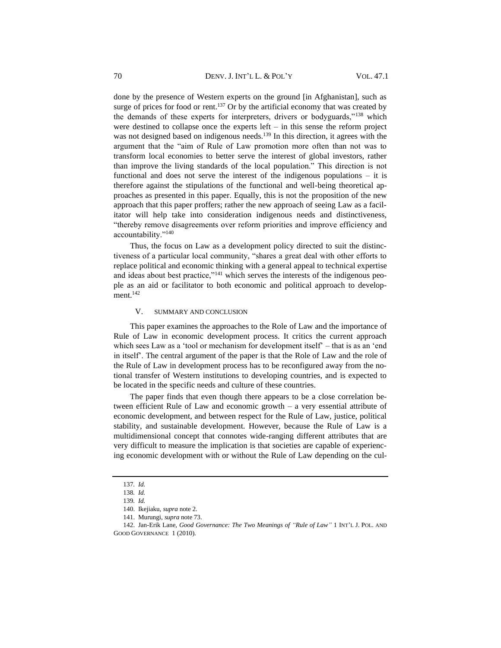done by the presence of Western experts on the ground [in Afghanistan], such as surge of prices for food or rent.<sup>137</sup> Or by the artificial economy that was created by the demands of these experts for interpreters, drivers or bodyguards,"<sup>138</sup> which were destined to collapse once the experts left – in this sense the reform project was not designed based on indigenous needs.<sup>139</sup> In this direction, it agrees with the argument that the "aim of Rule of Law promotion more often than not was to transform local economies to better serve the interest of global investors, rather than improve the living standards of the local population." This direction is not functional and does not serve the interest of the indigenous populations – it is therefore against the stipulations of the functional and well-being theoretical approaches as presented in this paper. Equally, this is not the proposition of the new approach that this paper proffers; rather the new approach of seeing Law as a facilitator will help take into consideration indigenous needs and distinctiveness, "thereby remove disagreements over reform priorities and improve efficiency and accountability."<sup>140</sup>

Thus, the focus on Law as a development policy directed to suit the distinctiveness of a particular local community, "shares a great deal with other efforts to replace political and economic thinking with a general appeal to technical expertise and ideas about best practice,"<sup>141</sup> which serves the interests of the indigenous people as an aid or facilitator to both economic and political approach to development.<sup>142</sup>

#### V. SUMMARY AND CONCLUSION

This paper examines the approaches to the Role of Law and the importance of Rule of Law in economic development process. It critics the current approach which sees Law as a 'tool or mechanism for development itself' – that is as an 'end in itself'. The central argument of the paper is that the Role of Law and the role of the Rule of Law in development process has to be reconfigured away from the notional transfer of Western institutions to developing countries, and is expected to be located in the specific needs and culture of these countries.

The paper finds that even though there appears to be a close correlation between efficient Rule of Law and economic growth – a very essential attribute of economic development, and between respect for the Rule of Law, justice, political stability, and sustainable development. However, because the Rule of Law is a multidimensional concept that connotes wide-ranging different attributes that are very difficult to measure the implication is that societies are capable of experiencing economic development with or without the Rule of Law depending on the cul-

<sup>137</sup>*. Id.*

<sup>138</sup>*. Id.*

<sup>139</sup>*. Id.*

<sup>140.</sup> Ikejiaku, *supra* note 2.

<sup>141.</sup> Murungi, *supra* note 73.

<sup>142.</sup> Jan-Erik Lane, *Good Governance: The Two Meanings of "Rule of Law"* 1 INT'L J. POL. AND GOOD GOVERNANCE 1 (2010).